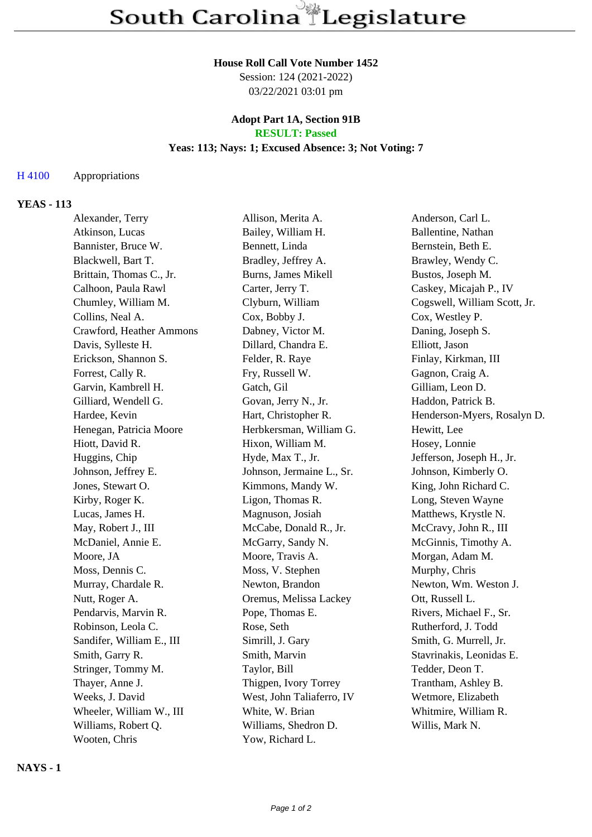#### **House Roll Call Vote Number 1452**

Session: 124 (2021-2022) 03/22/2021 03:01 pm

#### **Adopt Part 1A, Section 91B RESULT: Passed**

# **Yeas: 113; Nays: 1; Excused Absence: 3; Not Voting: 7**

## H 4100 Appropriations

## **YEAS - 113**

| Alexander, Terry          | Allison, Merita A.        | Anderson, Carl L.            |
|---------------------------|---------------------------|------------------------------|
| Atkinson, Lucas           | Bailey, William H.        | Ballentine, Nathan           |
| Bannister, Bruce W.       | Bennett, Linda            | Bernstein, Beth E.           |
| Blackwell, Bart T.        | Bradley, Jeffrey A.       | Brawley, Wendy C.            |
| Brittain, Thomas C., Jr.  | Burns, James Mikell       | Bustos, Joseph M.            |
| Calhoon, Paula Rawl       | Carter, Jerry T.          | Caskey, Micajah P., IV       |
| Chumley, William M.       | Clyburn, William          | Cogswell, William Scott, Jr. |
| Collins, Neal A.          | Cox, Bobby J.             | Cox, Westley P.              |
| Crawford, Heather Ammons  | Dabney, Victor M.         | Daning, Joseph S.            |
| Davis, Sylleste H.        | Dillard, Chandra E.       | Elliott, Jason               |
| Erickson, Shannon S.      | Felder, R. Raye           | Finlay, Kirkman, III         |
| Forrest, Cally R.         | Fry, Russell W.           | Gagnon, Craig A.             |
| Garvin, Kambrell H.       | Gatch, Gil                | Gilliam, Leon D.             |
| Gilliard, Wendell G.      | Govan, Jerry N., Jr.      | Haddon, Patrick B.           |
| Hardee, Kevin             | Hart, Christopher R.      | Henderson-Myers, Rosalyn D.  |
| Henegan, Patricia Moore   | Herbkersman, William G.   | Hewitt, Lee                  |
| Hiott, David R.           | Hixon, William M.         | Hosey, Lonnie                |
| Huggins, Chip             | Hyde, Max T., Jr.         | Jefferson, Joseph H., Jr.    |
| Johnson, Jeffrey E.       | Johnson, Jermaine L., Sr. | Johnson, Kimberly O.         |
| Jones, Stewart O.         | Kimmons, Mandy W.         | King, John Richard C.        |
| Kirby, Roger K.           | Ligon, Thomas R.          | Long, Steven Wayne           |
| Lucas, James H.           | Magnuson, Josiah          | Matthews, Krystle N.         |
| May, Robert J., III       | McCabe, Donald R., Jr.    | McCravy, John R., III        |
| McDaniel, Annie E.        | McGarry, Sandy N.         | McGinnis, Timothy A.         |
| Moore, JA                 | Moore, Travis A.          | Morgan, Adam M.              |
| Moss, Dennis C.           | Moss, V. Stephen          | Murphy, Chris                |
| Murray, Chardale R.       | Newton, Brandon           | Newton, Wm. Weston J.        |
| Nutt, Roger A.            | Oremus, Melissa Lackey    | Ott, Russell L.              |
| Pendarvis, Marvin R.      | Pope, Thomas E.           | Rivers, Michael F., Sr.      |
| Robinson, Leola C.        | Rose, Seth                | Rutherford, J. Todd          |
| Sandifer, William E., III | Simrill, J. Gary          | Smith, G. Murrell, Jr.       |
| Smith, Garry R.           | Smith, Marvin             | Stavrinakis, Leonidas E.     |
| Stringer, Tommy M.        | Taylor, Bill              | Tedder, Deon T.              |
| Thayer, Anne J.           | Thigpen, Ivory Torrey     | Trantham, Ashley B.          |
| Weeks, J. David           | West, John Taliaferro, IV | Wetmore, Elizabeth           |
| Wheeler, William W., III  | White, W. Brian           | Whitmire, William R.         |
| Williams, Robert Q.       | Williams, Shedron D.      | Willis, Mark N.              |
| Wooten, Chris             | Yow, Richard L.           |                              |